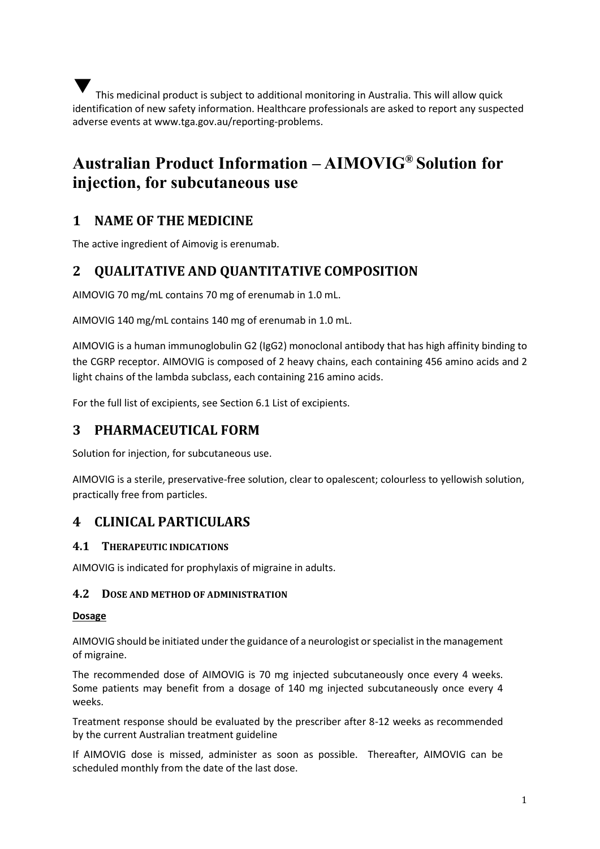This medicinal product is subject to additional monitoring in Australia. This will allow quick identification of new safety information. Healthcare professionals are asked to report any suspected adverse events at [www.tga.gov.au/reporting-problems.](http://www.tga.gov.au/reporting-problems) ▼

# **Australian Product Information – AIMOVIG® Solution for injection, for subcutaneous use**

## **1 NAME OF THE MEDICINE**

The active ingredient of Aimovig is erenumab.

## **2 QUALITATIVE AND QUANTITATIVE COMPOSITION**

AIMOVIG 70 mg/mL contains 70 mg of erenumab in 1.0 mL.

AIMOVIG 140 mg/mL contains 140 mg of erenumab in 1.0 mL.

AIMOVIG is a human immunoglobulin G2 (IgG2) monoclonal antibody that has high affinity binding to the CGRP receptor. AIMOVIG is composed of 2 heavy chains, each containing 456 amino acids and 2 light chains of the lambda subclass, each containing 216 amino acids.

For the full list of excipients, see Section 6.1 List of excipients.

## **3 PHARMACEUTICAL FORM**

Solution for injection, for subcutaneous use.

AIMOVIG is a sterile, preservative-free solution, clear to opalescent; colourless to yellowish solution, practically free from particles.

## **4 CLINICAL PARTICULARS**

#### **4.1 THERAPEUTIC INDICATIONS**

AIMOVIG is indicated for prophylaxis of migraine in adults.

#### **4.2 DOSE AND METHOD OF ADMINISTRATION**

#### **Dosage**

AIMOVIG should be initiated under the guidance of a neurologist or specialist in the management of migraine.

The recommended dose of AIMOVIG is 70 mg injected subcutaneously once every 4 weeks. Some patients may benefit from a dosage of 140 mg injected subcutaneously once every 4 weeks.

Treatment response should be evaluated by the prescriber after 8-12 weeks as recommended by the current Australian treatment guideline

If AIMOVIG dose is missed, administer as soon as possible. Thereafter, AIMOVIG can be scheduled monthly from the date of the last dose.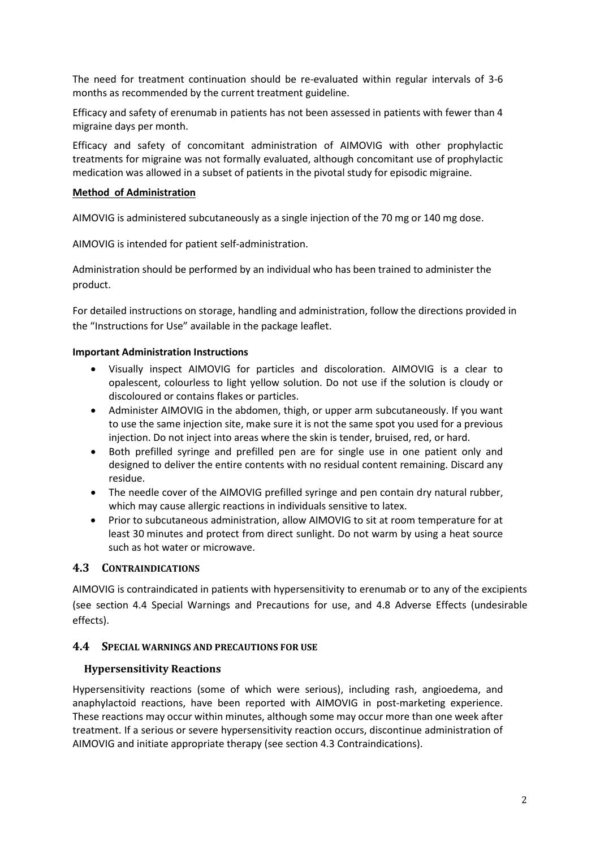The need for treatment continuation should be re-evaluated within regular intervals of 3-6 months as recommended by the current treatment guideline.

Efficacy and safety of erenumab in patients has not been assessed in patients with fewer than 4 migraine days per month.

Efficacy and safety of concomitant administration of AIMOVIG with other prophylactic treatments for migraine was not formally evaluated, although concomitant use of prophylactic medication was allowed in a subset of patients in the pivotal study for episodic migraine.

#### **Method of Administration**

AIMOVIG is administered subcutaneously as a single injection of the 70 mg or 140 mg dose.

AIMOVIG is intended for patient self-administration.

Administration should be performed by an individual who has been trained to administer the product.

For detailed instructions on storage, handling and administration, follow the directions provided in the "Instructions for Use" available in the package leaflet.

#### **Important Administration Instructions**

- Visually inspect AIMOVIG for particles and discoloration. AIMOVIG is a clear to opalescent, colourless to light yellow solution. Do not use if the solution is cloudy or discoloured or contains flakes or particles.
- Administer AIMOVIG in the abdomen, thigh, or upper arm subcutaneously. If you want to use the same injection site, make sure it is not the same spot you used for a previous injection. Do not inject into areas where the skin is tender, bruised, red, or hard.
- Both prefilled syringe and prefilled pen are for single use in one patient only and designed to deliver the entire contents with no residual content remaining. Discard any residue.
- The needle cover of the AIMOVIG prefilled syringe and pen contain dry natural rubber, which may cause allergic reactions in individuals sensitive to latex.
- Prior to subcutaneous administration, allow AIMOVIG to sit at room temperature for at least 30 minutes and protect from direct sunlight. Do not warm by using a heat source such as hot water or microwave.

#### **4.3 CONTRAINDICATIONS**

AIMOVIG is contraindicated in patients with hypersensitivity to erenumab or to any of the excipients (see section 4.4 Special Warnings and Precautions for use, and 4.8 Adverse Effects (undesirable effects).

#### **4.4 SPECIAL WARNINGS AND PRECAUTIONS FOR USE**

#### **Hypersensitivity Reactions**

Hypersensitivity reactions (some of which were serious), including rash, angioedema, and anaphylactoid reactions, have been reported with AIMOVIG in post-marketing experience. These reactions may occur within minutes, although some may occur more than one week after treatment. If a serious or severe hypersensitivity reaction occurs, discontinue administration of AIMOVIG and initiate appropriate therapy (see section 4.3 Contraindications).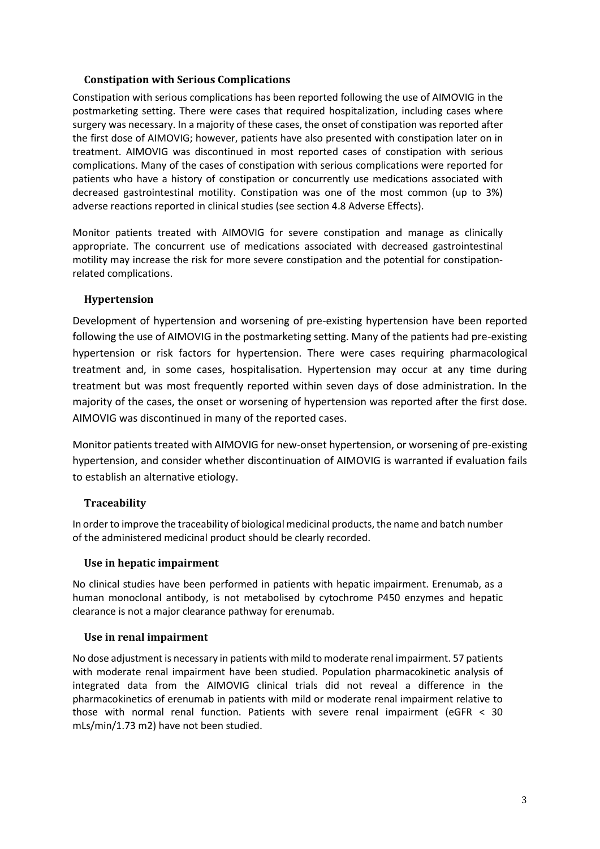#### **Constipation with Serious Complications**

Constipation with serious complications has been reported following the use of AIMOVIG in the postmarketing setting. There were cases that required hospitalization, including cases where surgery was necessary. In a majority of these cases, the onset of constipation was reported after the first dose of AIMOVIG; however, patients have also presented with constipation later on in treatment. AIMOVIG was discontinued in most reported cases of constipation with serious complications. Many of the cases of constipation with serious complications were reported for patients who have a history of constipation or concurrently use medications associated with decreased gastrointestinal motility. Constipation was one of the most common (up to 3%) adverse reactions reported in clinical studies (see section 4.8 Adverse Effects).

Monitor patients treated with AIMOVIG for severe constipation and manage as clinically appropriate. The concurrent use of medications associated with decreased gastrointestinal motility may increase the risk for more severe constipation and the potential for constipation‐ related complications.

#### **Hypertension**

Development of hypertension and worsening of pre-existing hypertension have been reported following the use of AIMOVIG in the postmarketing setting. Many of the patients had pre-existing hypertension or risk factors for hypertension. There were cases requiring pharmacological treatment and, in some cases, hospitalisation. Hypertension may occur at any time during treatment but was most frequently reported within seven days of dose administration. In the majority of the cases, the onset or worsening of hypertension was reported after the first dose. AIMOVIG was discontinued in many of the reported cases.

Monitor patients treated with AIMOVIG for new-onset hypertension, or worsening of pre-existing hypertension, and consider whether discontinuation of AIMOVIG is warranted if evaluation fails to establish an alternative etiology.

#### **Traceability**

In order to improve the traceability of biological medicinal products, the name and batch number of the administered medicinal product should be clearly recorded.

#### **Use in hepatic impairment**

No clinical studies have been performed in patients with hepatic impairment. Erenumab, as a human monoclonal antibody, is not metabolised by cytochrome P450 enzymes and hepatic clearance is not a major clearance pathway for erenumab.

#### **Use in renal impairment**

No dose adjustment is necessary in patients with mild to moderate renal impairment. 57 patients with moderate renal impairment have been studied. Population pharmacokinetic analysis of integrated data from the AIMOVIG clinical trials did not reveal a difference in the pharmacokinetics of erenumab in patients with mild or moderate renal impairment relative to those with normal renal function. Patients with severe renal impairment (eGFR < 30 mLs/min/1.73 m2) have not been studied.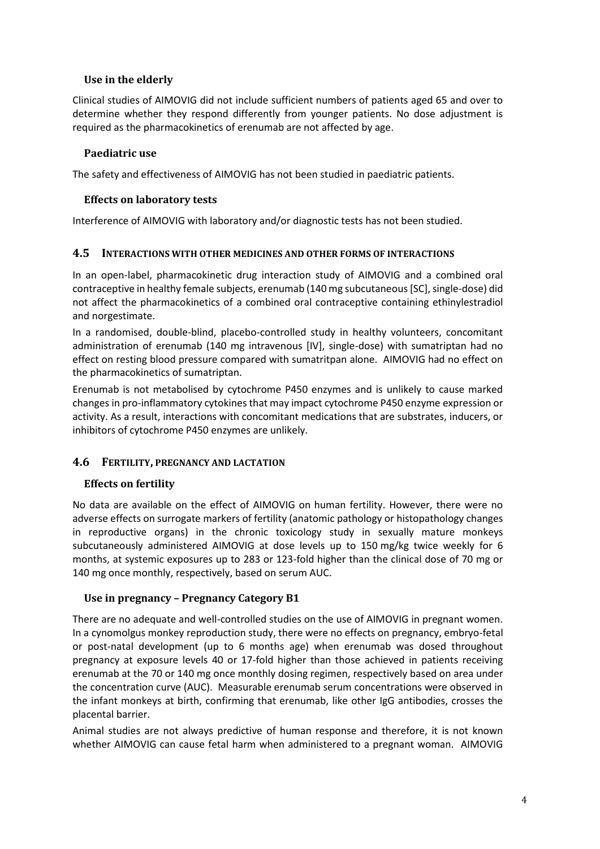#### **Use in the elderly**

Clinical studies of AIMOVIG did not include sufficient numbers of patients aged 65 and over to determine whether they respond differently from younger patients. No dose adjustment is required as the pharmacokinetics of erenumab are not affected by age.

### **Paediatric use**

The safety and effectiveness of AIMOVIG has not been studied in paediatric patients.

#### **Effects on laboratory tests**

Interference of AIMOVIG with laboratory and/or diagnostic tests has not been studied.

#### **4.5 INTERACTIONS WITH OTHER MEDICINES AND OTHER FORMS OF INTERACTIONS**

In an open-label, pharmacokinetic drug interaction study of AIMOVIG and a combined oral contraceptive in healthy female subjects, erenumab (140 mg subcutaneous [SC], single-dose) did not affect the pharmacokinetics of a combined oral contraceptive containing ethinylestradiol and norgestimate.

In a randomised, double-blind, placebo-controlled study in healthy volunteers, concomitant administration of erenumab (140 mg intravenous [IV], single-dose) with sumatriptan had no effect on resting blood pressure compared with sumatritpan alone. AIMOVIG had no effect on the pharmacokinetics of sumatriptan.

Erenumab is not metabolised by cytochrome P450 enzymes and is unlikely to cause marked changes in pro-inflammatory cytokines that may impact cytochrome P450 enzyme expression or activity. As a result, interactions with concomitant medications that are substrates, inducers, or inhibitors of cytochrome P450 enzymes are unlikely.

#### **4.6 FERTILITY, PREGNANCY AND LACTATION**

#### **Effects on fertility**

No data are available on the effect of AIMOVIG on human fertility. However, there were no adverse effects on surrogate markers of fertility (anatomic pathology or histopathology changes in reproductive organs) in the chronic toxicology study in sexually mature monkeys subcutaneously administered AIMOVIG at dose levels up to 150 mg/kg twice weekly for 6 months, at systemic exposures up to 283 or 123-fold higher than the clinical dose of 70 mg or 140 mg once monthly, respectively, based on serum AUC.

#### **Use in pregnancy – Pregnancy Category B1**

There are no adequate and well-controlled studies on the use of AIMOVIG in pregnant women. In a cynomolgus monkey reproduction study, there were no effects on pregnancy, embryo-fetal or post-natal development (up to 6 months age) when erenumab was dosed throughout pregnancy at exposure levels 40 or 17-fold higher than those achieved in patients receiving erenumab at the 70 or 140 mg once monthly dosing regimen, respectively based on area under the concentration curve (AUC). Measurable erenumab serum concentrations were observed in the infant monkeys at birth, confirming that erenumab, like other IgG antibodies, crosses the placental barrier.

Animal studies are not always predictive of human response and therefore, it is not known whether AIMOVIG can cause fetal harm when administered to a pregnant woman. AIMOVIG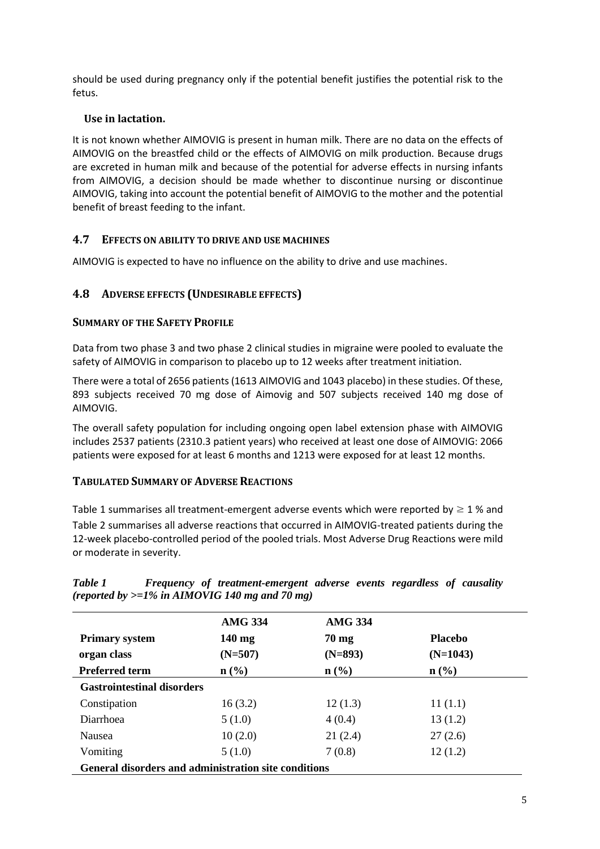should be used during pregnancy only if the potential benefit justifies the potential risk to the fetus.

### **Use in lactation.**

It is not known whether AIMOVIG is present in human milk. There are no data on the effects of AIMOVIG on the breastfed child or the effects of AIMOVIG on milk production. Because drugs are excreted in human milk and because of the potential for adverse effects in nursing infants from AIMOVIG, a decision should be made whether to discontinue nursing or discontinue AIMOVIG, taking into account the potential benefit of AIMOVIG to the mother and the potential benefit of breast feeding to the infant.

## **4.7 EFFECTS ON ABILITY TO DRIVE AND USE MACHINES**

AIMOVIG is expected to have no influence on the ability to drive and use machines.

### **4.8 ADVERSE EFFECTS (UNDESIRABLE EFFECTS)**

#### **SUMMARY OF THE SAFETY PROFILE**

Data from two phase 3 and two phase 2 clinical studies in migraine were pooled to evaluate the safety of AIMOVIG in comparison to placebo up to 12 weeks after treatment initiation.

There were a total of 2656 patients (1613 AIMOVIG and 1043 placebo) in these studies. Of these, 893 subjects received 70 mg dose of Aimovig and 507 subjects received 140 mg dose of AIMOVIG.

The overall safety population for including ongoing open label extension phase with AIMOVIG includes 2537 patients (2310.3 patient years) who received at least one dose of AIMOVIG: 2066 patients were exposed for at least 6 months and 1213 were exposed for at least 12 months.

#### **TABULATED SUMMARY OF ADVERSE REACTIONS**

[Table 1](#page-4-0) summarises all treatment-emergent adverse events which were reported by  $\geq 1$  % and [Table 2](#page-5-0) summarises all adverse reactions that occurred in AIMOVIG-treated patients during the 12-week placebo-controlled period of the pooled trials. Most Adverse Drug Reactions were mild or moderate in severity.

|                                                      | <b>AMG 334</b>              | <b>AMG 334</b>   |                  |
|------------------------------------------------------|-----------------------------|------------------|------------------|
| <b>Primary system</b>                                | $140 \text{ mg}$            | $70 \text{ mg}$  | <b>Placebo</b>   |
| organ class                                          | $(N=507)$                   | $(N=893)$        | $(N=1043)$       |
| <b>Preferred term</b>                                | $n\left(\frac{0}{0}\right)$ | $\mathbf{n}(\%)$ | $\mathbf{n}(\%)$ |
| <b>Gastrointestinal disorders</b>                    |                             |                  |                  |
| Constipation                                         | 16(3.2)                     | 12(1.3)          | 11(1.1)          |
| Diarrhoea                                            | 5(1.0)                      | 4(0.4)           | 13(1.2)          |
| <b>Nausea</b>                                        | 10(2.0)                     | 21(2.4)          | 27(2.6)          |
| Vomiting                                             | 5(1.0)                      | 7(0.8)           | 12(1.2)          |
| General disorders and administration site conditions |                             |                  |                  |

<span id="page-4-0"></span>*Table 1 Frequency of treatment-emergent adverse events regardless of causality (reported by >=1% in AIMOVIG 140 mg and 70 mg)*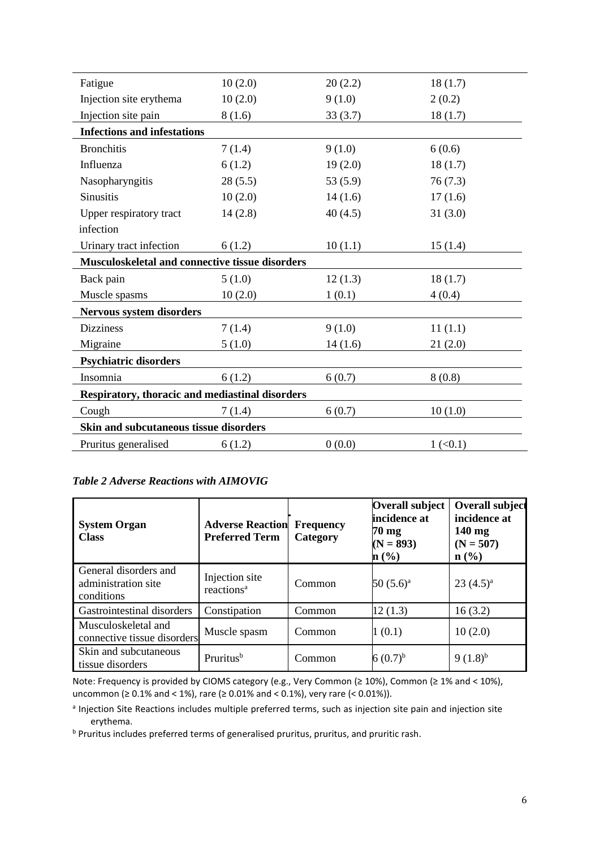| Fatigue                                         | 10(2.0)                                | 20(2.2) | 18(1.7)                |  |
|-------------------------------------------------|----------------------------------------|---------|------------------------|--|
| Injection site erythema                         | 10(2.0)                                | 9(1.0)  | 2(0.2)                 |  |
| Injection site pain                             | 8(1.6)                                 | 33(3.7) | 18(1.7)                |  |
| <b>Infections and infestations</b>              |                                        |         |                        |  |
| <b>Bronchitis</b>                               | 7(1.4)                                 | 9(1.0)  | 6(0.6)                 |  |
| Influenza                                       | 6(1.2)                                 | 19(2.0) | 18(1.7)                |  |
| Nasopharyngitis                                 | 28(5.5)                                | 53(5.9) | 76(7.3)                |  |
| <b>Sinusitis</b>                                | 10(2.0)                                | 14(1.6) | 17(1.6)                |  |
| Upper respiratory tract                         | 14(2.8)                                | 40(4.5) | 31(3.0)                |  |
| infection                                       |                                        |         |                        |  |
| Urinary tract infection                         | 6(1.2)                                 | 10(1.1) | 15(1.4)                |  |
| Musculoskeletal and connective tissue disorders |                                        |         |                        |  |
| Back pain                                       | 5(1.0)                                 | 12(1.3) | 18(1.7)                |  |
| Muscle spasms                                   | 10(2.0)                                | 1(0.1)  | 4(0.4)                 |  |
| <b>Nervous system disorders</b>                 |                                        |         |                        |  |
| <b>Dizziness</b>                                | 7(1.4)                                 | 9(1.0)  | 11(1.1)                |  |
| Migraine                                        | 5(1.0)                                 | 14(1.6) | 21(2.0)                |  |
| <b>Psychiatric disorders</b>                    |                                        |         |                        |  |
| Insomnia                                        | 6(1.2)                                 | 6(0.7)  | 8(0.8)                 |  |
| Respiratory, thoracic and mediastinal disorders |                                        |         |                        |  |
| Cough                                           | 7(1.4)                                 | 6(0.7)  | 10(1.0)                |  |
|                                                 | Skin and subcutaneous tissue disorders |         |                        |  |
| Pruritus generalised                            | 6(1.2)                                 | 0(0.0)  | $1 \left( 0.1 \right)$ |  |
|                                                 |                                        |         |                        |  |

## <span id="page-5-0"></span>*Table 2 Adverse Reactions with AIMOVIG*

| <b>System Organ</b><br><b>Class</b>                        | <b>Adverse Reaction</b><br><b>Preferred Term</b> | <b>Frequency</b><br>Category | <b>Overall subject</b><br>incidence at<br>$70 \text{ mg}$<br>$(N = 893)$<br>n(%) | <b>Overall subject</b><br>incidence at<br>$140 \text{ mg}$<br>$(N = 507)$<br>$\mathbf{n}(\%)$ |
|------------------------------------------------------------|--------------------------------------------------|------------------------------|----------------------------------------------------------------------------------|-----------------------------------------------------------------------------------------------|
| General disorders and<br>administration site<br>conditions | Injection site<br>reactions <sup>a</sup>         | Common                       | $50(5.6)^{a}$                                                                    | $23(4.5)^{a}$                                                                                 |
| Gastrointestinal disorders                                 | Constipation                                     | Common                       | 12(1.3)                                                                          | 16(3.2)                                                                                       |
| Musculoskeletal and<br>connective tissue disorders         | Muscle spasm                                     | Common                       | 1(0.1)                                                                           | 10(2.0)                                                                                       |
| Skin and subcutaneous<br>tissue disorders                  | Pruritus <sup>b</sup>                            | Common                       | 6 $(0.7)^{b}$                                                                    | $9(1.8)^{b}$                                                                                  |

Note: Frequency is provided by CIOMS category (e.g., Very Common (≥ 10%), Common (≥ 1% and < 10%), uncommon (≥ 0.1% and < 1%), rare (≥ 0.01% and < 0.1%), very rare (< 0.01%)).

<sup>a</sup> Injection Site Reactions includes multiple preferred terms, such as injection site pain and injection site erythema.

<sup>b</sup> Pruritus includes preferred terms of generalised pruritus, pruritus, and pruritic rash.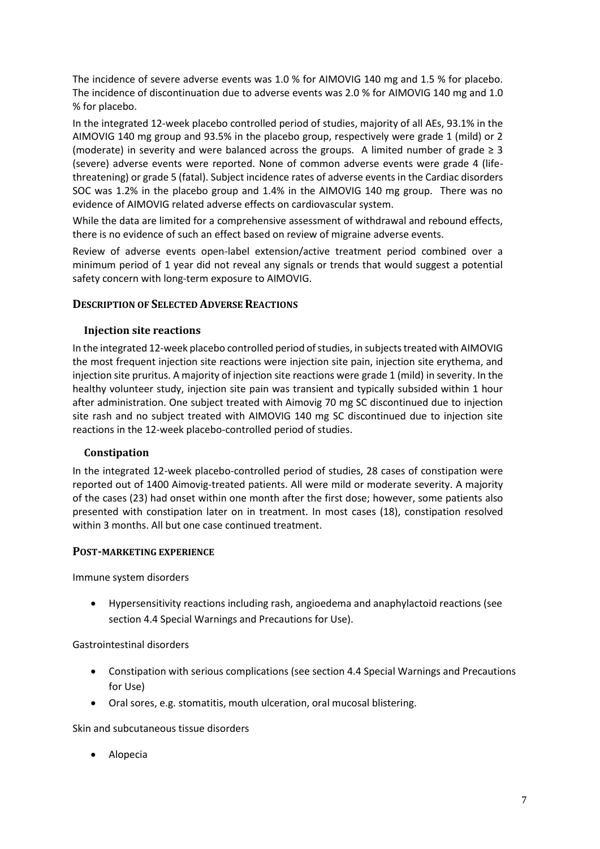The incidence of severe adverse events was 1.0 % for AIMOVIG 140 mg and 1.5 % for placebo. The incidence of discontinuation due to adverse events was 2.0 % for AIMOVIG 140 mg and 1.0 % for placebo.

In the integrated 12-week placebo controlled period of studies, majority of all AEs, 93.1% in the AIMOVIG 140 mg group and 93.5% in the placebo group, respectively were grade 1 (mild) or 2 (moderate) in severity and were balanced across the groups. A limited number of grade  $\geq 3$ (severe) adverse events were reported. None of common adverse events were grade 4 (lifethreatening) or grade 5 (fatal). Subject incidence rates of adverse events in the Cardiac disorders SOC was 1.2% in the placebo group and 1.4% in the AIMOVIG 140 mg group. There was no evidence of AIMOVIG related adverse effects on cardiovascular system.

While the data are limited for a comprehensive assessment of withdrawal and rebound effects, there is no evidence of such an effect based on review of migraine adverse events.

Review of adverse events open-label extension/active treatment period combined over a minimum period of 1 year did not reveal any signals or trends that would suggest a potential safety concern with long-term exposure to AIMOVIG.

#### **DESCRIPTION OF SELECTED ADVERSE REACTIONS**

#### **Injection site reactions**

In the integrated 12-week placebo controlled period of studies, in subjects treated with AIMOVIG the most frequent injection site reactions were injection site pain, injection site erythema, and injection site pruritus. A majority of injection site reactions were grade 1 (mild) in severity. In the healthy volunteer study, injection site pain was transient and typically subsided within 1 hour after administration. One subject treated with Aimovig 70 mg SC discontinued due to injection site rash and no subject treated with AIMOVIG 140 mg SC discontinued due to injection site reactions in the 12-week placebo-controlled period of studies.

#### **Constipation**

In the integrated 12-week placebo-controlled period of studies, 28 cases of constipation were reported out of 1400 Aimovig-treated patients. All were mild or moderate severity. A majority of the cases (23) had onset within one month after the first dose; however, some patients also presented with constipation later on in treatment. In most cases (18), constipation resolved within 3 months. All but one case continued treatment.

#### **POST-MARKETING EXPERIENCE**

Immune system disorders

• Hypersensitivity reactions including rash, angioedema and anaphylactoid reactions (see section 4.4 Special Warnings and Precautions for Use).

#### Gastrointestinal disorders

- Constipation with serious complications (see section 4.4 Special Warnings and Precautions for Use)
- Oral sores, e.g. stomatitis, mouth ulceration, oral mucosal blistering.

Skin and subcutaneous tissue disorders

• Alopecia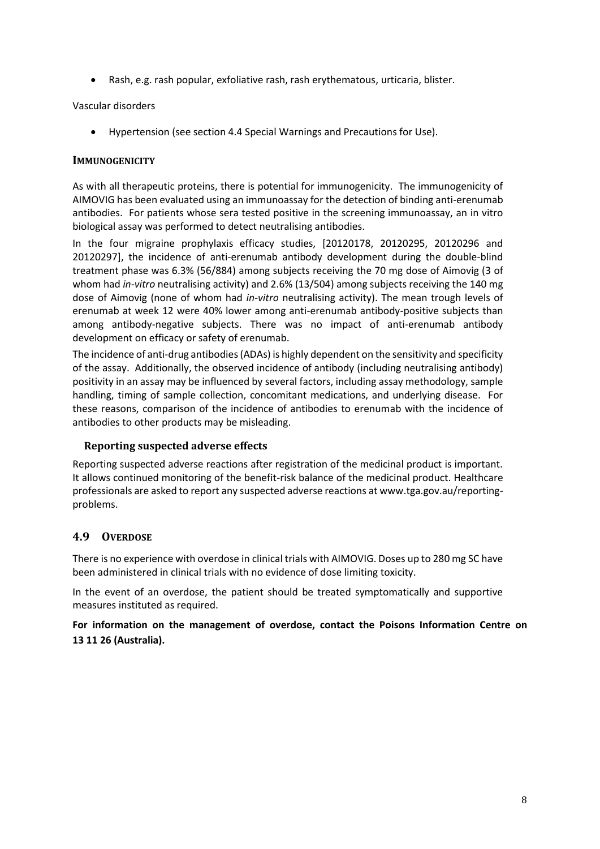• Rash, e.g. rash popular, exfoliative rash, rash erythematous, urticaria, blister.

#### Vascular disorders

• Hypertension (see section 4.4 Special Warnings and Precautions for Use).

#### **IMMUNOGENICITY**

As with all therapeutic proteins, there is potential for immunogenicity. The immunogenicity of AIMOVIG has been evaluated using an immunoassay for the detection of binding anti-erenumab antibodies. For patients whose sera tested positive in the screening immunoassay, an in vitro biological assay was performed to detect neutralising antibodies.

In the four migraine prophylaxis efficacy studies, [20120178, 20120295, 20120296 and 20120297], the incidence of anti-erenumab antibody development during the double-blind treatment phase was 6.3% (56/884) among subjects receiving the 70 mg dose of Aimovig (3 of whom had *in-vitro* neutralising activity) and 2.6% (13/504) among subjects receiving the 140 mg dose of Aimovig (none of whom had *in-vitro* neutralising activity). The mean trough levels of erenumab at week 12 were 40% lower among anti-erenumab antibody-positive subjects than among antibody-negative subjects. There was no impact of anti-erenumab antibody development on efficacy or safety of erenumab.

The incidence of anti-drug antibodies (ADAs) is highly dependent on the sensitivity and specificity of the assay. Additionally, the observed incidence of antibody (including neutralising antibody) positivity in an assay may be influenced by several factors, including assay methodology, sample handling, timing of sample collection, concomitant medications, and underlying disease. For these reasons, comparison of the incidence of antibodies to erenumab with the incidence of antibodies to other products may be misleading.

#### **Reporting suspected adverse effects**

Reporting suspected adverse reactions after registration of the medicinal product is important. It allows continued monitoring of the benefit-risk balance of the medicinal product. Healthcare professionals are asked to report any suspected adverse reactions a[t www.tga.gov.au/reporting](http://www.tga.gov.au/reporting-problems)[problems.](http://www.tga.gov.au/reporting-problems)

#### **4.9 OVERDOSE**

There is no experience with overdose in clinical trials with AIMOVIG. Doses up to 280 mg SC have been administered in clinical trials with no evidence of dose limiting toxicity.

In the event of an overdose, the patient should be treated symptomatically and supportive measures instituted as required.

**For information on the management of overdose, contact the Poisons Information Centre on 13 11 26 (Australia).**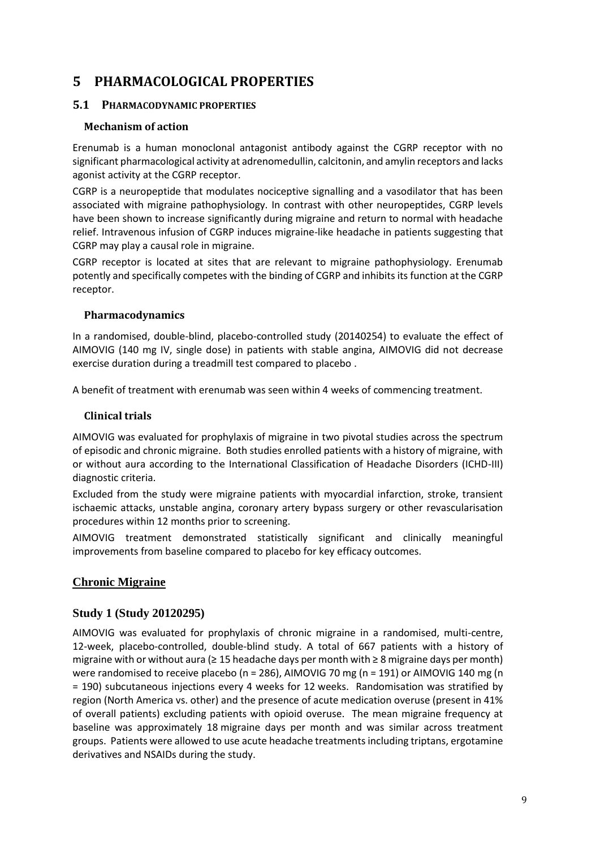## **5 PHARMACOLOGICAL PROPERTIES**

#### **5.1 PHARMACODYNAMIC PROPERTIES**

#### **Mechanism of action**

Erenumab is a human monoclonal antagonist antibody against the CGRP receptor with no significant pharmacological activity at adrenomedullin, calcitonin, and amylin receptors and lacks agonist activity at the CGRP receptor.

CGRP is a neuropeptide that modulates nociceptive signalling and a vasodilator that has been associated with migraine pathophysiology. In contrast with other neuropeptides, CGRP levels have been shown to increase significantly during migraine and return to normal with headache relief. Intravenous infusion of CGRP induces migraine-like headache in patients suggesting that CGRP may play a causal role in migraine.

CGRP receptor is located at sites that are relevant to migraine pathophysiology. Erenumab potently and specifically competes with the binding of CGRP and inhibits its function at the CGRP receptor.

#### **Pharmacodynamics**

In a randomised, double-blind, placebo-controlled study (20140254) to evaluate the effect of AIMOVIG (140 mg IV, single dose) in patients with stable angina, AIMOVIG did not decrease exercise duration during a treadmill test compared to placebo .

A benefit of treatment with erenumab was seen within 4 weeks of commencing treatment.

#### **Clinical trials**

AIMOVIG was evaluated for prophylaxis of migraine in two pivotal studies across the spectrum of episodic and chronic migraine. Both studies enrolled patients with a history of migraine, with or without aura according to the International Classification of Headache Disorders (ICHD-III) diagnostic criteria.

Excluded from the study were migraine patients with myocardial infarction, stroke, transient ischaemic attacks, unstable angina, coronary artery bypass surgery or other revascularisation procedures within 12 months prior to screening.

AIMOVIG treatment demonstrated statistically significant and clinically meaningful improvements from baseline compared to placebo for key efficacy outcomes.

#### **Chronic Migraine**

#### **Study 1 (Study 20120295)**

AIMOVIG was evaluated for prophylaxis of chronic migraine in a randomised, multi-centre, 12-week, placebo-controlled, double-blind study. A total of 667 patients with a history of migraine with or without aura (≥ 15 headache days per month with ≥ 8 migraine days per month) were randomised to receive placebo (n = 286), AIMOVIG 70 mg (n = 191) or AIMOVIG 140 mg (n = 190) subcutaneous injections every 4 weeks for 12 weeks. Randomisation was stratified by region (North America vs. other) and the presence of acute medication overuse (present in 41% of overall patients) excluding patients with opioid overuse. The mean migraine frequency at baseline was approximately 18 migraine days per month and was similar across treatment groups. Patients were allowed to use acute headache treatments including triptans, ergotamine derivatives and NSAIDs during the study.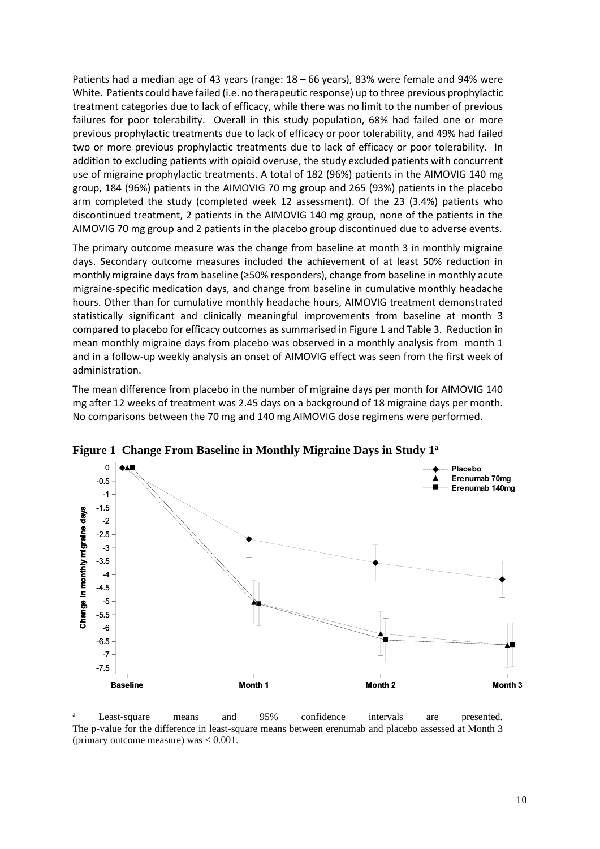Patients had a median age of 43 years (range: 18 – 66 years), 83% were female and 94% were White. Patients could have failed (i.e. no therapeutic response) up to three previous prophylactic treatment categories due to lack of efficacy, while there was no limit to the number of previous failures for poor tolerability. Overall in this study population, 68% had failed one or more previous prophylactic treatments due to lack of efficacy or poor tolerability, and 49% had failed two or more previous prophylactic treatments due to lack of efficacy or poor tolerability. In addition to excluding patients with opioid overuse, the study excluded patients with concurrent use of migraine prophylactic treatments. A total of 182 (96%) patients in the AIMOVIG 140 mg group, 184 (96%) patients in the AIMOVIG 70 mg group and 265 (93%) patients in the placebo arm completed the study (completed week 12 assessment). Of the 23 (3.4%) patients who discontinued treatment, 2 patients in the AIMOVIG 140 mg group, none of the patients in the AIMOVIG 70 mg group and 2 patients in the placebo group discontinued due to adverse events.

The primary outcome measure was the change from baseline at month 3 in monthly migraine days. Secondary outcome measures included the achievement of at least 50% reduction in monthly migraine days from baseline (≥50% responders), change from baseline in monthly acute migraine-specific medication days, and change from baseline in cumulative monthly headache hours. Other than for cumulative monthly headache hours, AIMOVIG treatment demonstrated statistically significant and clinically meaningful improvements from baseline at month 3 compared to placebo for efficacy outcomes as summarised i[n Figure 1](#page-9-0) an[d Table 3.](#page-10-0) Reduction in mean monthly migraine days from placebo was observed in a monthly analysis from month 1 and in a follow-up weekly analysis an onset of AIMOVIG effect was seen from the first week of administration.

The mean difference from placebo in the number of migraine days per month for AIMOVIG 140 mg after 12 weeks of treatment was 2.45 days on a background of 18 migraine days per month. No comparisons between the 70 mg and 140 mg AIMOVIG dose regimens were performed.



<span id="page-9-0"></span>**Figure 1 Change From Baseline in Monthly Migraine Days in Study 1<sup>a</sup>**

Least-square means and 95% confidence intervals are presented. The p-value for the difference in least-square means between erenumab and placebo assessed at Month 3 (primary outcome measure) was < 0.001.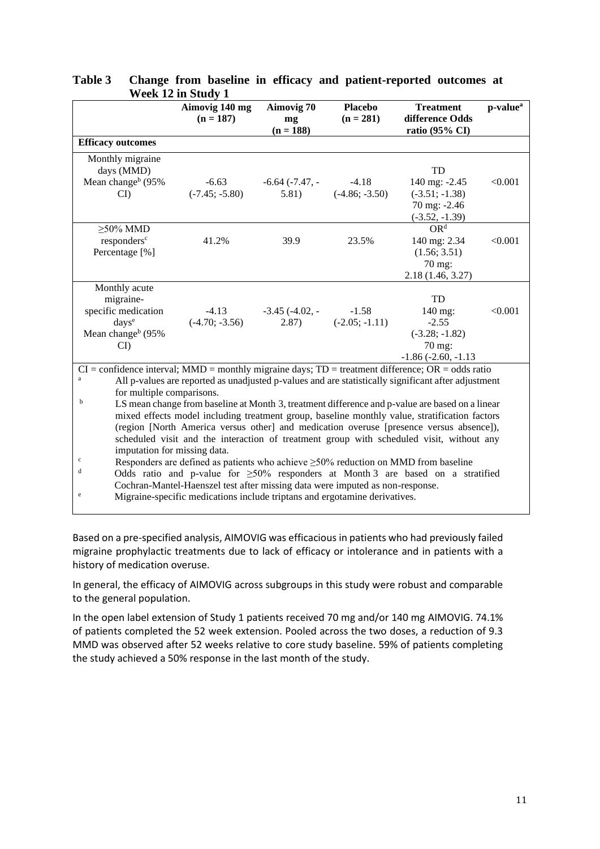|                                                                                                         | $\alpha$ cun 12 iii duuuy 1   |                         |                               |                                                                                                     |                      |
|---------------------------------------------------------------------------------------------------------|-------------------------------|-------------------------|-------------------------------|-----------------------------------------------------------------------------------------------------|----------------------|
|                                                                                                         | Aimovig 140 mg<br>$(n = 187)$ | Aimovig 70<br>mg        | <b>Placebo</b><br>$(n = 281)$ | <b>Treatment</b><br>difference Odds                                                                 | p-value <sup>a</sup> |
|                                                                                                         |                               | $(n = 188)$             |                               | ratio (95% CI)                                                                                      |                      |
| <b>Efficacy outcomes</b>                                                                                |                               |                         |                               |                                                                                                     |                      |
| Monthly migraine                                                                                        |                               |                         |                               |                                                                                                     |                      |
| days (MMD)                                                                                              |                               |                         |                               | TD                                                                                                  |                      |
| Mean change <sup>b</sup> (95%)                                                                          | $-6.63$                       | $-6.64$ ( $-7.47$ , $-$ | $-4.18$                       | 140 mg: -2.45                                                                                       | < 0.001              |
| CI                                                                                                      | $(-7.45; -5.80)$              | 5.81)                   | $(-4.86; -3.50)$              | $(-3.51; -1.38)$                                                                                    |                      |
|                                                                                                         |                               |                         |                               | 70 mg: -2.46                                                                                        |                      |
|                                                                                                         |                               |                         |                               | $(-3.52, -1.39)$                                                                                    |                      |
| $\geq$ 50% MMD                                                                                          |                               |                         |                               | OR <sup>d</sup>                                                                                     |                      |
| responders <sup>c</sup>                                                                                 | 41.2%                         | 39.9                    | 23.5%                         | 140 mg: 2.34                                                                                        | < 0.001              |
| Percentage [%]                                                                                          |                               |                         |                               | (1.56; 3.51)                                                                                        |                      |
|                                                                                                         |                               |                         |                               | 70 mg:                                                                                              |                      |
|                                                                                                         |                               |                         |                               | 2.18(1.46, 3.27)                                                                                    |                      |
| Monthly acute                                                                                           |                               |                         |                               |                                                                                                     |                      |
| migraine-                                                                                               |                               |                         |                               | TD                                                                                                  |                      |
| specific medication                                                                                     | $-4.13$                       | $-3.45$ ( $-4.02$ , $-$ | $-1.58$                       | 140 mg:                                                                                             | < 0.001              |
| days <sup>e</sup>                                                                                       | $(-4.70; -3.56)$              | (2.87)                  | $(-2.05; -1.11)$              | $-2.55$                                                                                             |                      |
| Mean change <sup>b</sup> (95%                                                                           |                               |                         |                               | $(-3.28; -1.82)$                                                                                    |                      |
| CI                                                                                                      |                               |                         |                               | 70 mg:                                                                                              |                      |
|                                                                                                         |                               |                         |                               | $-1.86$ ( $-2.60$ , $-1.13$                                                                         |                      |
| $CI =$ confidence interval; MMD = monthly migraine days; $TD =$ treatment difference; $OR =$ odds ratio |                               |                         |                               |                                                                                                     |                      |
| a                                                                                                       |                               |                         |                               | All p-values are reported as unadjusted p-values and are statistically significant after adjustment |                      |
| for multiple comparisons.                                                                               |                               |                         |                               |                                                                                                     |                      |
| $\mathbf b$                                                                                             |                               |                         |                               | LS mean change from baseline at Month 3, treatment difference and p-value are based on a linear     |                      |
|                                                                                                         |                               |                         |                               | mixed effects model including treatment group, baseline monthly value, stratification factors       |                      |
|                                                                                                         |                               |                         |                               | (region [North America versus other] and medication overuse [presence versus absence]),             |                      |
| scheduled visit and the interaction of treatment group with scheduled visit, without any                |                               |                         |                               |                                                                                                     |                      |
| imputation for missing data.                                                                            |                               |                         |                               |                                                                                                     |                      |
| $\mathbf c$<br>Responders are defined as patients who achieve $\geq$ 50% reduction on MMD from baseline |                               |                         |                               |                                                                                                     |                      |
| d<br>Odds ratio and p-value for $\geq 50\%$ responders at Month 3 are based on a stratified             |                               |                         |                               |                                                                                                     |                      |
| Cochran-Mantel-Haenszel test after missing data were imputed as non-response.                           |                               |                         |                               |                                                                                                     |                      |
| e<br>Migraine-specific medications include triptans and ergotamine derivatives.                         |                               |                         |                               |                                                                                                     |                      |
|                                                                                                         |                               |                         |                               |                                                                                                     |                      |

### <span id="page-10-0"></span>**Table 3 Change from baseline in efficacy and patient-reported outcomes at Week 12 in Study 1**

Based on a pre-specified analysis, AIMOVIG was efficacious in patients who had previously failed migraine prophylactic treatments due to lack of efficacy or intolerance and in patients with a history of medication overuse.

In general, the efficacy of AIMOVIG across subgroups in this study were robust and comparable to the general population.

In the open label extension of Study 1 patients received 70 mg and/or 140 mg AIMOVIG. 74.1% of patients completed the 52 week extension. Pooled across the two doses, a reduction of 9.3 MMD was observed after 52 weeks relative to core study baseline. 59% of patients completing the study achieved a 50% response in the last month of the study.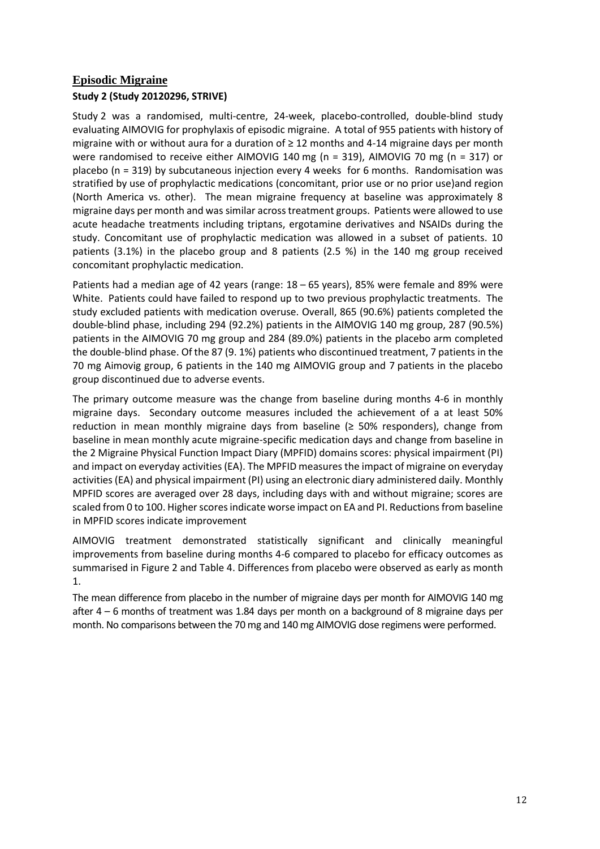## **Episodic Migraine Study 2 (Study 20120296, STRIVE)**

Study 2 was a randomised, multi-centre, 24-week, placebo-controlled, double-blind study evaluating AIMOVIG for prophylaxis of episodic migraine. A total of 955 patients with history of migraine with or without aura for a duration of ≥ 12 months and 4-14 migraine days per month were randomised to receive either AIMOVIG 140 mg (n = 319), AIMOVIG 70 mg (n = 317) or placebo (n = 319) by subcutaneous injection every 4 weeks for 6 months. Randomisation was stratified by use of prophylactic medications (concomitant, prior use or no prior use)and region (North America vs. other). The mean migraine frequency at baseline was approximately 8 migraine days per month and was similar across treatment groups. Patients were allowed to use acute headache treatments including triptans, ergotamine derivatives and NSAIDs during the study. Concomitant use of prophylactic medication was allowed in a subset of patients. 10 patients (3.1%) in the placebo group and 8 patients (2.5 %) in the 140 mg group received concomitant prophylactic medication.

Patients had a median age of 42 years (range: 18 – 65 years), 85% were female and 89% were White. Patients could have failed to respond up to two previous prophylactic treatments. The study excluded patients with medication overuse. Overall, 865 (90.6%) patients completed the double-blind phase, including 294 (92.2%) patients in the AIMOVIG 140 mg group, 287 (90.5%) patients in the AIMOVIG 70 mg group and 284 (89.0%) patients in the placebo arm completed the double-blind phase. Of the 87 (9. 1%) patients who discontinued treatment, 7 patients in the 70 mg Aimovig group, 6 patients in the 140 mg AIMOVIG group and 7 patients in the placebo group discontinued due to adverse events.

The primary outcome measure was the change from baseline during months 4-6 in monthly migraine days. Secondary outcome measures included the achievement of a at least 50% reduction in mean monthly migraine days from baseline ( $\geq$  50% responders), change from baseline in mean monthly acute migraine-specific medication days and change from baseline in the 2 Migraine Physical Function Impact Diary (MPFID) domains scores: physical impairment (PI) and impact on everyday activities (EA). The MPFID measures the impact of migraine on everyday activities (EA) and physical impairment (PI) using an electronic diary administered daily. Monthly MPFID scores are averaged over 28 days, including days with and without migraine; scores are scaled from 0 to 100. Higher scores indicate worse impact on EA and PI. Reductions from baseline in MPFID scores indicate improvement

AIMOVIG treatment demonstrated statistically significant and clinically meaningful improvements from baseline during months 4-6 compared to placebo for efficacy outcomes as summarised in [Figure 2](#page-12-0) and [Table 4.](#page-12-1) Differences from placebo were observed as early as month 1.

The mean difference from placebo in the number of migraine days per month for AIMOVIG 140 mg after 4 – 6 months of treatment was 1.84 days per month on a background of 8 migraine days per month. No comparisons between the 70 mg and 140 mg AIMOVIG dose regimens were performed.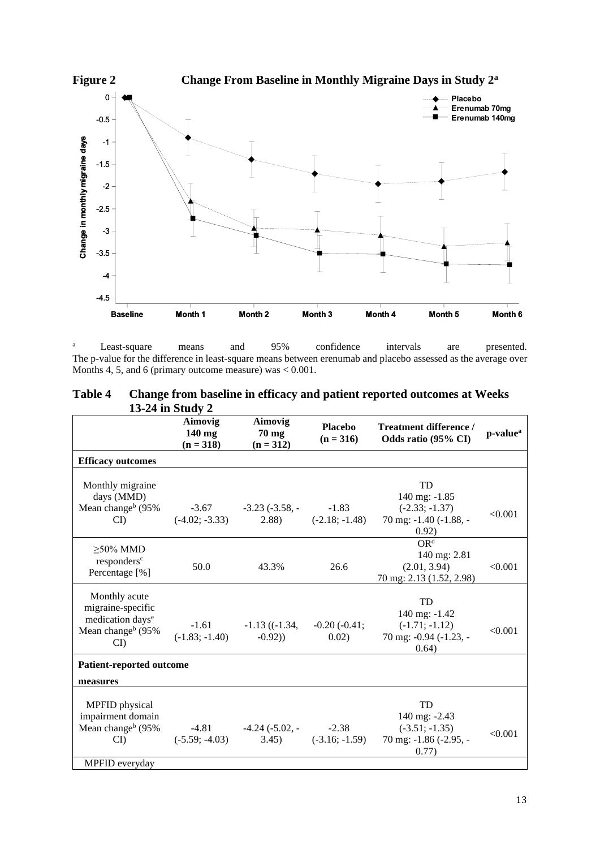<span id="page-12-0"></span>

<sup>a</sup> Least-square means and 95% confidence intervals are presented. The p-value for the difference in least-square means between erenumab and placebo assessed as the average over Months 4, 5, and 6 (primary outcome measure) was  $< 0.001$ .

<span id="page-12-1"></span>

| Table 4 | Change from baseline in efficacy and patient reported outcomes at Weeks |
|---------|-------------------------------------------------------------------------|
|         | 13-24 in Study 2                                                        |

|                                                                                                                      | 19-44 III SUUUV 4                  |                                           |                               |                                                                             |                      |
|----------------------------------------------------------------------------------------------------------------------|------------------------------------|-------------------------------------------|-------------------------------|-----------------------------------------------------------------------------|----------------------|
|                                                                                                                      | Aimovig<br>$140$ mg<br>$(n = 318)$ | Aimovig<br>$70 \text{ mg}$<br>$(n = 312)$ | <b>Placebo</b><br>$(n = 316)$ | Treatment difference /<br>Odds ratio (95% CI)                               | p-value <sup>a</sup> |
| <b>Efficacy outcomes</b>                                                                                             |                                    |                                           |                               |                                                                             |                      |
| Monthly migraine<br>days (MMD)                                                                                       |                                    |                                           |                               | TD<br>140 mg: -1.85                                                         |                      |
| Mean change <sup>b</sup> (95%)<br>$\mathbf{C}$                                                                       | $-3.67$<br>$(-4.02; -3.33)$        | $-3.23$ $(-3.58, -7.83)$<br>(2.88)        | $(-2.18; -1.48)$              | $(-2.33; -1.37)$<br>70 mg: -1.40 (-1.88, -<br>0.92)                         | < 0.001              |
| $\geq$ 50% MMD<br>responders <sup>c</sup><br>Percentage [%]                                                          | 50.0                               | 43.3%                                     | 26.6                          | OR <sup>d</sup><br>140 mg: 2.81<br>(2.01, 3.94)<br>70 mg: 2.13 (1.52, 2.98) | < 0.001              |
| Monthly acute<br>migraine-specific<br>medication days <sup>e</sup><br>Mean change <sup>b</sup> (95%)<br>$\mathbf{C}$ | $-1.61$<br>$(-1.83; -1.40)$        | $-1.13$ ( $(-1.34,$<br>$-0.92)$           | $-0.20(-0.41)$ ;<br>0.02)     | TD<br>140 mg: -1.42<br>$(-1.71; -1.12)$<br>70 mg: -0.94 (-1.23, -<br>0.64)  | < 0.001              |
| <b>Patient-reported outcome</b>                                                                                      |                                    |                                           |                               |                                                                             |                      |
| measures                                                                                                             |                                    |                                           |                               |                                                                             |                      |
| MPFID physical<br>impairment domain<br>Mean change <sup>b</sup> (95%)<br>CI                                          | $-4.81$<br>$(-5.59; -4.03)$        | $-4.24$ ( $-5.02$ , $-$<br>3.45)          | $-2.38$<br>$(-3.16; -1.59)$   | TD<br>140 mg: -2.43<br>$(-3.51; -1.35)$<br>70 mg: -1.86 (-2.95, -<br>0.77)  | < 0.001              |
| MPFID everyday                                                                                                       |                                    |                                           |                               |                                                                             |                      |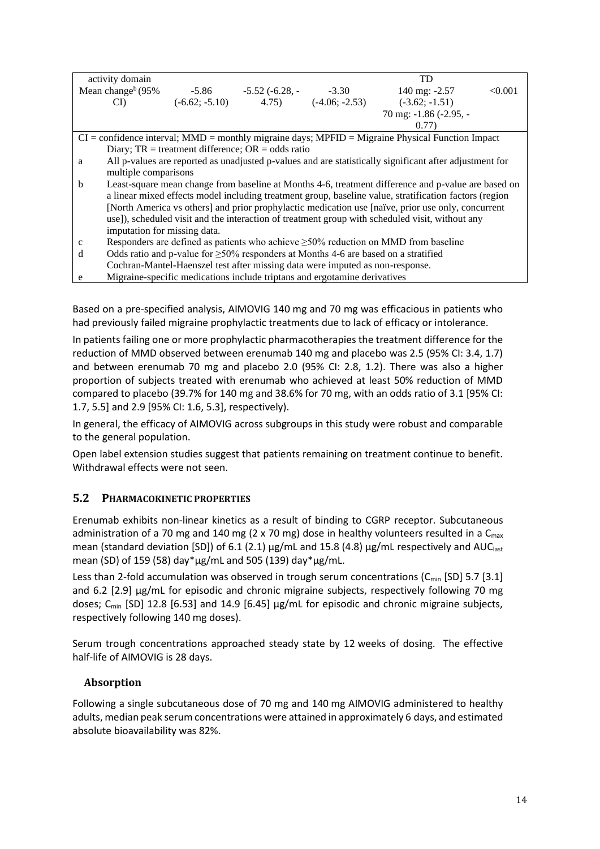| activity domain      |                                                                                          |                                  |                           | <b>TD</b>                                                                                               |         |
|----------------------|------------------------------------------------------------------------------------------|----------------------------------|---------------------------|---------------------------------------------------------------------------------------------------------|---------|
| Mean change $b(95\%$ |                                                                                          | $-5.86$ $-5.52$ $(-6.28, -7.30)$ |                           | 140 mg: $-2.57$                                                                                         | < 0.001 |
|                      |                                                                                          |                                  |                           |                                                                                                         |         |
| CD                   | $(-6.62; -5.10)$                                                                         |                                  | $(4.75)$ $(-4.06; -2.53)$ | $(-3.62; -1.51)$                                                                                        |         |
|                      |                                                                                          |                                  |                           | 70 mg: -1.86 (-2.95, -                                                                                  |         |
|                      |                                                                                          |                                  |                           | (0.77)                                                                                                  |         |
|                      |                                                                                          |                                  |                           | $CI =$ confidence interval; $MMD =$ monthly migraine days; $MPFID =$ Migraine Physical Function Impact  |         |
|                      | Diary; $TR = treatment difference$ ; $OR = odds ratio$                                   |                                  |                           |                                                                                                         |         |
| a                    |                                                                                          |                                  |                           | All p-values are reported as unadjusted p-values and are statistically significant after adjustment for |         |
|                      | multiple comparisons                                                                     |                                  |                           |                                                                                                         |         |
| b                    |                                                                                          |                                  |                           | Least-square mean change from baseline at Months 4-6, treatment difference and p-value are based on     |         |
|                      |                                                                                          |                                  |                           | a linear mixed effects model including treatment group, baseline value, stratification factors (region  |         |
|                      |                                                                                          |                                  |                           | [North America vs others] and prior prophylactic medication use [naïve, prior use only, concurrent      |         |
|                      |                                                                                          |                                  |                           | use]), scheduled visit and the interaction of treatment group with scheduled visit, without any         |         |
|                      | imputation for missing data.                                                             |                                  |                           |                                                                                                         |         |
|                      |                                                                                          |                                  |                           |                                                                                                         |         |
| $\mathbf c$          | Responders are defined as patients who achieve $\geq$ 50% reduction on MMD from baseline |                                  |                           |                                                                                                         |         |
| d                    | Odds ratio and p-value for $\geq$ 50% responders at Months 4-6 are based on a stratified |                                  |                           |                                                                                                         |         |
|                      | Cochran-Mantel-Haenszel test after missing data were imputed as non-response.            |                                  |                           |                                                                                                         |         |
| e                    | Migraine-specific medications include triptans and ergotamine derivatives                |                                  |                           |                                                                                                         |         |

Based on a pre-specified analysis, AIMOVIG 140 mg and 70 mg was efficacious in patients who had previously failed migraine prophylactic treatments due to lack of efficacy or intolerance.

In patients failing one or more prophylactic pharmacotherapies the treatment difference for the reduction of MMD observed between erenumab 140 mg and placebo was 2.5 (95% CI: 3.4, 1.7) and between erenumab 70 mg and placebo 2.0 (95% CI: 2.8, 1.2). There was also a higher proportion of subjects treated with erenumab who achieved at least 50% reduction of MMD compared to placebo (39.7% for 140 mg and 38.6% for 70 mg, with an odds ratio of 3.1 [95% CI: 1.7, 5.5] and 2.9 [95% CI: 1.6, 5.3], respectively).

In general, the efficacy of AIMOVIG across subgroups in this study were robust and comparable to the general population.

Open label extension studies suggest that patients remaining on treatment continue to benefit. Withdrawal effects were not seen.

## **5.2 PHARMACOKINETIC PROPERTIES**

Erenumab exhibits non-linear kinetics as a result of binding to CGRP receptor. Subcutaneous administration of a 70 mg and 140 mg (2 x 70 mg) dose in healthy volunteers resulted in a  $C_{\text{max}}$ mean (standard deviation [SD]) of 6.1 (2.1) µg/mL and 15.8 (4.8) µg/mL respectively and AUC<sub>last</sub> mean (SD) of 159 (58) day\*µg/mL and 505 (139) day\*µg/mL.

Less than 2-fold accumulation was observed in trough serum concentrations ( $C<sub>min</sub>$  [SD] 5.7 [3.1] and 6.2 [2.9] µg/mL for episodic and chronic migraine subjects, respectively following 70 mg doses; C<sub>min</sub> [SD] 12.8 [6.53] and 14.9 [6.45]  $\mu$ g/mL for episodic and chronic migraine subjects, respectively following 140 mg doses).

Serum trough concentrations approached steady state by 12 weeks of dosing. The effective half-life of AIMOVIG is 28 days.

#### **Absorption**

Following a single subcutaneous dose of 70 mg and 140 mg AIMOVIG administered to healthy adults, median peak serum concentrations were attained in approximately 6 days, and estimated absolute bioavailability was 82%.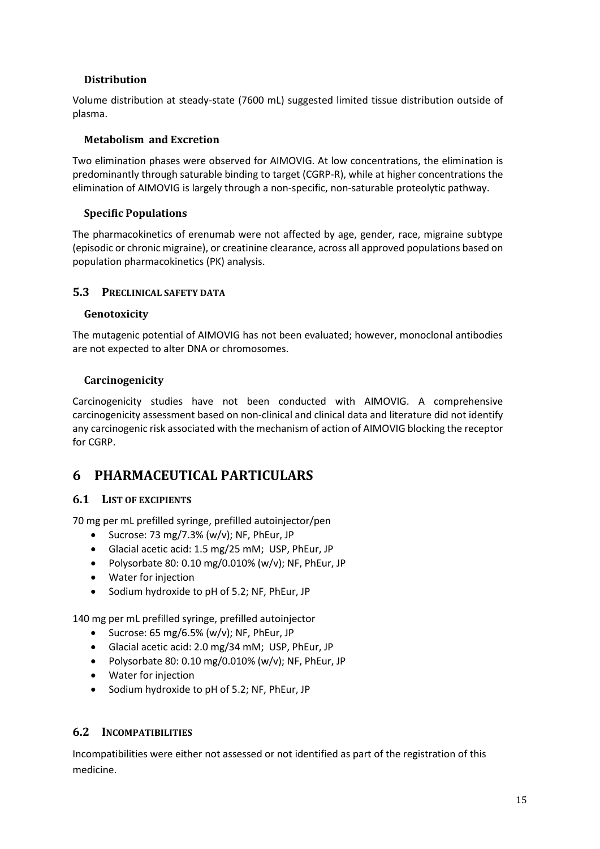### **Distribution**

Volume distribution at steady-state (7600 mL) suggested limited tissue distribution outside of plasma.

#### **Metabolism and Excretion**

Two elimination phases were observed for AIMOVIG. At low concentrations, the elimination is predominantly through saturable binding to target (CGRP-R), while at higher concentrations the elimination of AIMOVIG is largely through a non-specific, non-saturable proteolytic pathway.

### **Specific Populations**

The pharmacokinetics of erenumab were not affected by age, gender, race, migraine subtype (episodic or chronic migraine), or creatinine clearance, across all approved populations based on population pharmacokinetics (PK) analysis.

### **5.3 PRECLINICAL SAFETY DATA**

#### **Genotoxicity**

The mutagenic potential of AIMOVIG has not been evaluated; however, monoclonal antibodies are not expected to alter DNA or chromosomes.

### **Carcinogenicity**

Carcinogenicity studies have not been conducted with AIMOVIG. A comprehensive carcinogenicity assessment based on non-clinical and clinical data and literature did not identify any carcinogenic risk associated with the mechanism of action of AIMOVIG blocking the receptor for CGRP.

## **6 PHARMACEUTICAL PARTICULARS**

## **6.1 LIST OF EXCIPIENTS**

70 mg per mL prefilled syringe, prefilled autoinjector/pen

- Sucrose: 73 mg/7.3% (w/v); NF, PhEur, JP
- Glacial acetic acid: 1.5 mg/25 mM; USP, PhEur, JP
- Polysorbate 80: 0.10 mg/0.010% (w/v); NF, PhEur, JP
- Water for injection
- Sodium hydroxide to pH of 5.2; NF, PhEur, JP

140 mg per mL prefilled syringe, prefilled autoinjector

- Sucrose: 65 mg/6.5% (w/v); NF, PhEur, JP
- Glacial acetic acid: 2.0 mg/34 mM; USP, PhEur, JP
- Polysorbate 80: 0.10 mg/0.010% (w/v); NF, PhEur, JP
- Water for injection
- Sodium hydroxide to pH of 5.2; NF, PhEur, JP

## **6.2 INCOMPATIBILITIES**

Incompatibilities were either not assessed or not identified as part of the registration of this medicine.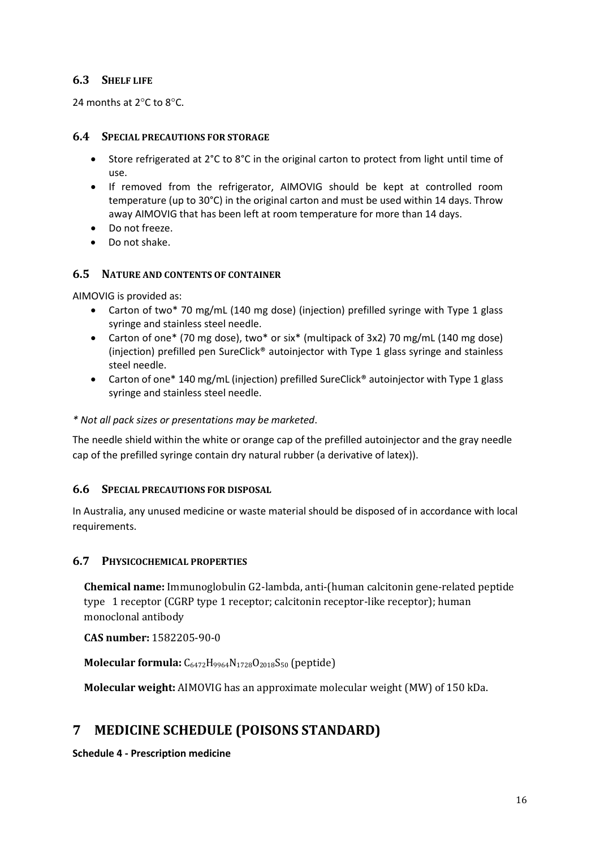### **6.3 SHELF LIFE**

24 months at  $2^{\circ}$ C to  $8^{\circ}$ C.

#### **6.4 SPECIAL PRECAUTIONS FOR STORAGE**

- Store refrigerated at 2°C to 8°C in the original carton to protect from light until time of use.
- If removed from the refrigerator, AIMOVIG should be kept at controlled room temperature (up to 30°C) in the original carton and must be used within 14 days. Throw away AIMOVIG that has been left at room temperature for more than 14 days.
- Do not freeze.
- Do not shake.

#### **6.5 NATURE AND CONTENTS OF CONTAINER**

AIMOVIG is provided as:

- Carton of two\* 70 mg/mL (140 mg dose) (injection) prefilled syringe with Type 1 glass syringe and stainless steel needle.
- Carton of one\* (70 mg dose), two\* or six\* (multipack of 3x2) 70 mg/mL (140 mg dose) (injection) prefilled pen SureClick® autoinjector with Type 1 glass syringe and stainless steel needle.
- Carton of one\* 140 mg/mL (injection) prefilled SureClick® autoinjector with Type 1 glass syringe and stainless steel needle.

#### *\* Not all pack sizes or presentations may be marketed*.

The needle shield within the white or orange cap of the prefilled autoinjector and the gray needle cap of the prefilled syringe contain dry natural rubber (a derivative of latex)).

#### **6.6 SPECIAL PRECAUTIONS FOR DISPOSAL**

In Australia, any unused medicine or waste material should be disposed of in accordance with local requirements.

#### **6.7 PHYSICOCHEMICAL PROPERTIES**

**Chemical name:** Immunoglobulin G2-lambda, anti-(human calcitonin gene-related peptide type 1 receptor (CGRP type 1 receptor; calcitonin receptor-like receptor); human monoclonal antibody

**CAS number:** 1582205-90-0

Molecular formula: C<sub>6472</sub>H<sub>9964</sub>N<sub>1728</sub>O<sub>2018</sub>S<sub>50</sub> (peptide)

**Molecular weight:** AIMOVIG has an approximate molecular weight (MW) of 150 kDa.

## **7 MEDICINE SCHEDULE (POISONS STANDARD)**

**Schedule 4 - Prescription medicine**